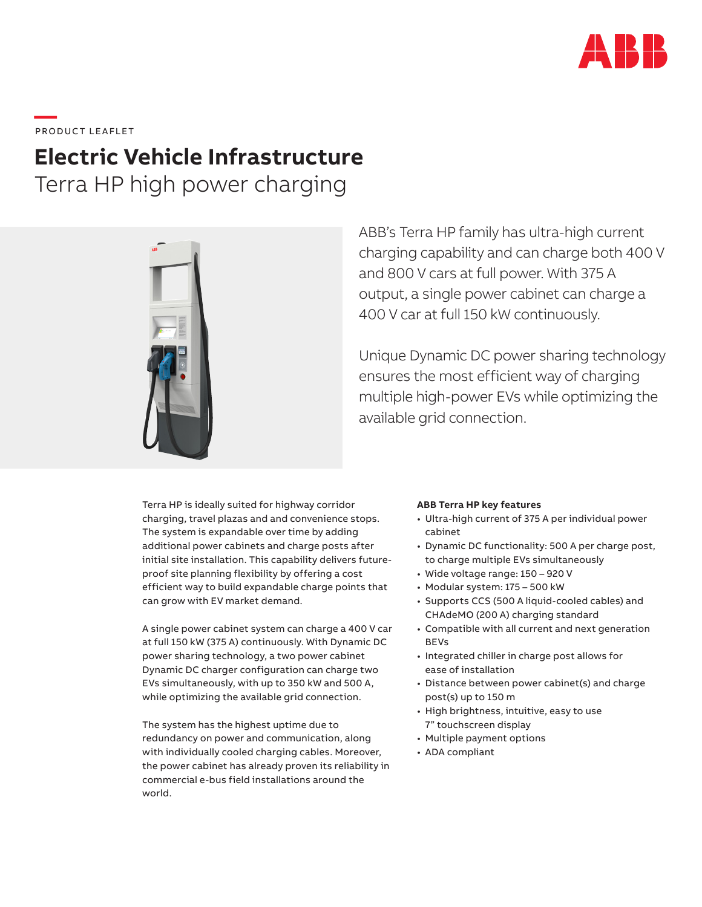

**——**<br>PRODUCT LEAFLET

# **Electric Vehicle Infrastructure**

Terra HP high power charging



ABB's Terra HP family has ultra-high current charging capability and can charge both 400 V and 800 V cars at full power. With 375 A output, a single power cabinet can charge a 400 V car at full 150 kW continuously.

Unique Dynamic DC power sharing technology ensures the most efficient way of charging multiple high-power EVs while optimizing the available grid connection.

Terra HP is ideally suited for highway corridor charging, travel plazas and and convenience stops. The system is expandable over time by adding additional power cabinets and charge posts after initial site installation. This capability delivers futureproof site planning flexibility by offering a cost efficient way to build expandable charge points that can grow with EV market demand.

A single power cabinet system can charge a 400 V car at full 150 kW (375 A) continuously. With Dynamic DC power sharing technology, a two power cabinet Dynamic DC charger configuration can charge two EVs simultaneously, with up to 350 kW and 500 A, while optimizing the available grid connection.

The system has the highest uptime due to redundancy on power and communication, along with individually cooled charging cables. Moreover, the power cabinet has already proven its reliability in commercial e-bus field installations around the world.

### **ABB Terra HP key features**

- Ultra-high current of 375 A per individual power cabinet
- Dynamic DC functionality: 500 A per charge post, to charge multiple EVs simultaneously
- • Wide voltage range: 150 920 V
- • Modular system: 175 500 kW
- • Supports CCS (500 A liquid-cooled cables) and CHAdeMO (200 A) charging standard
- • Compatible with all current and next generation BEVs
- • Integrated chiller in charge post allows for ease of installation
- Distance between power cabinet(s) and charge post(s) up to 150 m
- High brightness, intuitive, easy to use 7" touchscreen display
- Multiple payment options
- ADA compliant